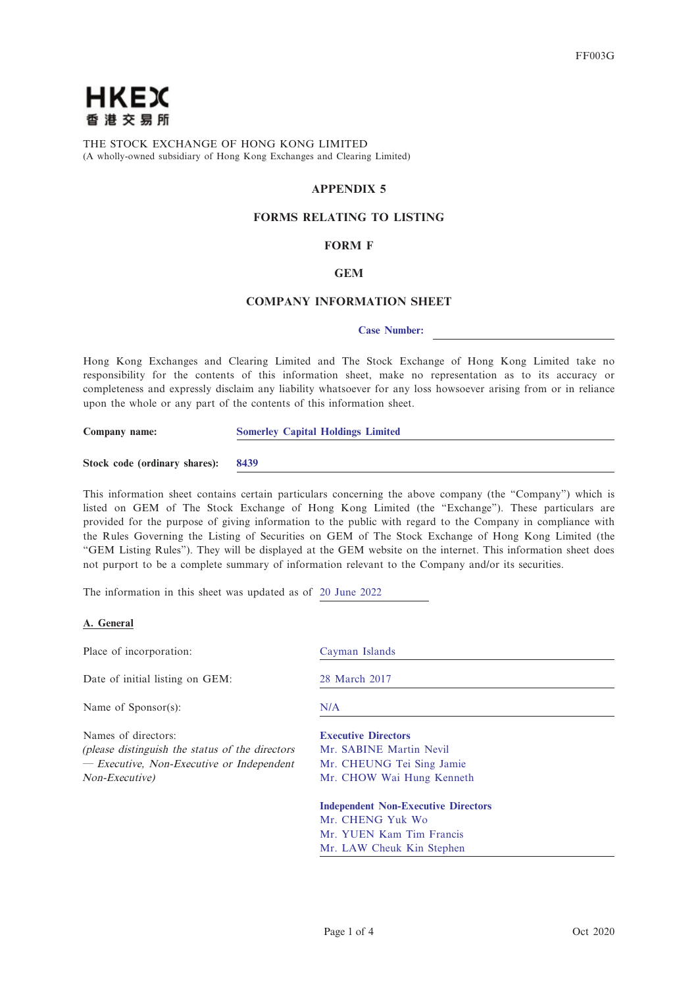

THE STOCK EXCHANGE OF HONG KONG LIMITED (A wholly-owned subsidiary of Hong Kong Exchanges and Clearing Limited)

# **APPENDIX 5**

# **FORMS RELATING TO LISTING**

# **FORM F**

# **GEM**

# **COMPANY INFORMATION SHEET**

#### **Case Number:**

Hong Kong Exchanges and Clearing Limited and The Stock Exchange of Hong Kong Limited take no responsibility for the contents of this information sheet, make no representation as to its accuracy or completeness and expressly disclaim any liability whatsoever for any loss howsoever arising from or in reliance upon the whole or any part of the contents of this information sheet.

| Company name: | <b>Somerley Capital Holdings Limited</b> |  |
|---------------|------------------------------------------|--|
|               |                                          |  |

|  |  | Stock code (ordinary shares): |  | 8439 |
|--|--|-------------------------------|--|------|
|--|--|-------------------------------|--|------|

This information sheet contains certain particulars concerning the above company (the "Company") which is listed on GEM of The Stock Exchange of Hong Kong Limited (the "Exchange"). These particulars are provided for the purpose of giving information to the public with regard to the Company in compliance with the Rules Governing the Listing of Securities on GEM of The Stock Exchange of Hong Kong Limited (the "GEM Listing Rules"). They will be displayed at the GEM website on the internet. This information sheet does not purport to be a complete summary of information relevant to the Company and/or its securities.

The information in this sheet was updated as of 20 June 2022

## **A. General**

| Cayman Islands                             |
|--------------------------------------------|
| 28 March 2017                              |
| N/A                                        |
| <b>Executive Directors</b>                 |
| Mr. SABINE Martin Nevil                    |
| Mr. CHEUNG Tei Sing Jamie                  |
| Mr. CHOW Wai Hung Kenneth                  |
| <b>Independent Non-Executive Directors</b> |
| Mr. CHENG Yuk Wo                           |
| Mr. YUEN Kam Tim Francis                   |
| Mr. LAW Cheuk Kin Stephen                  |
|                                            |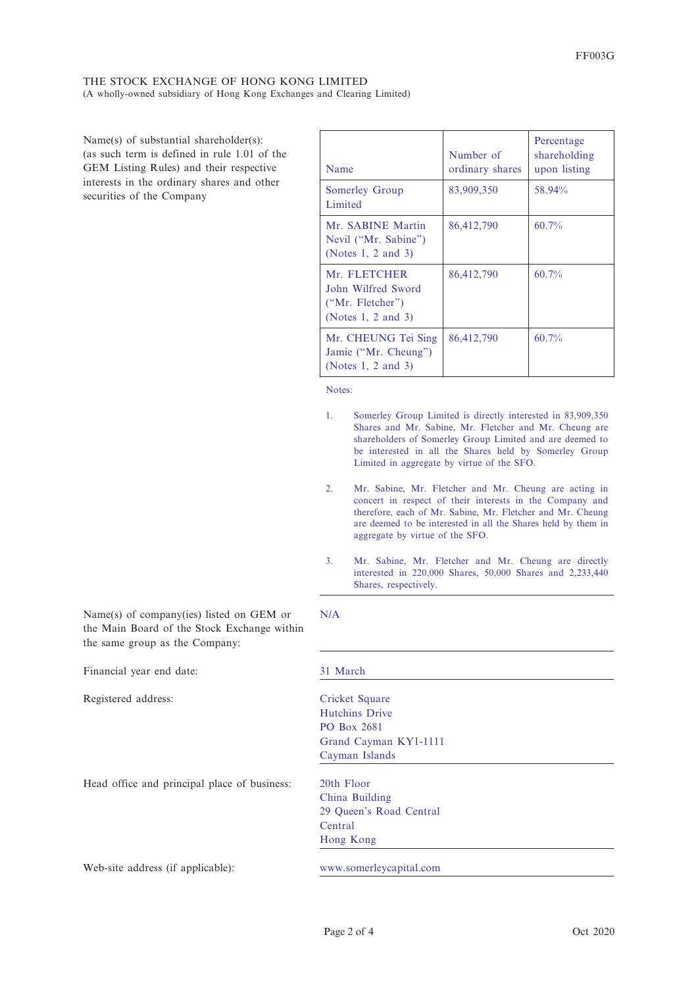Name(s) of substantial shareholder(s): (as such term is defined in rule 1.01 of the GEM Listing Rules) and their respective interests in the ordinary shares and other securities of the Company

Name(s) of company(ies) listed on GEM or

| Name                                                                         | Number of<br>ordinary shares | Percentage<br>shareholding<br>upon listing |
|------------------------------------------------------------------------------|------------------------------|--------------------------------------------|
| Somerley Group<br>Limited                                                    | 83,909,350                   | 58.94%                                     |
| Mr. SABINE Martin<br>Nevil ("Mr. Sabine")<br>(Notes 1, 2 and 3)              | 86,412,790                   | $60.7\%$                                   |
| Mr. FLETCHER<br>John Wilfred Sword<br>("Mr. Fletcher")<br>(Notes 1, 2 and 3) | 86,412,790                   | $60.7\%$                                   |
| Mr. CHEUNG Tei Sing<br>Jamie ("Mr. Cheung")<br>(Notes $1, 2$ and $3$ )       | 86,412,790                   | $60.7\%$                                   |

Notes:

- 1. Somerley Group Limited is directly interested in 83,909,350 Shares and Mr. Sabine, Mr. Fletcher and Mr. Cheung are shareholders of Somerley Group Limited and are deemed to be interested in all the Shares held by Somerley Group Limited in aggregate by virtue of the SFO.
- 2. Mr. Sabine, Mr. Fletcher and Mr. Cheung are acting in concert in respect of their interests in the Company and therefore, each of Mr. Sabine, Mr. Fletcher and Mr. Cheung are deemed to be interested in all the Shares held by them in aggregate by virtue of the SFO.
- 3. Mr. Sabine, Mr. Fletcher and Mr. Cheung are directly interested in 220,000 Shares, 50,000 Shares and 2,233,440 Shares, respectively.

| the Main Board of the Stock Exchange within |
|---------------------------------------------|
| 31 March                                    |
| Cricket Square                              |
| <b>Hutchins Drive</b>                       |
| <b>PO Box 2681</b>                          |
| Grand Cayman KY1-1111                       |
| Cayman Islands                              |
| 20th Floor                                  |
| China Building                              |
| 29 Queen's Road Central                     |
| Central                                     |
| Hong Kong                                   |
| www.somerleycapital.com                     |
|                                             |

N/A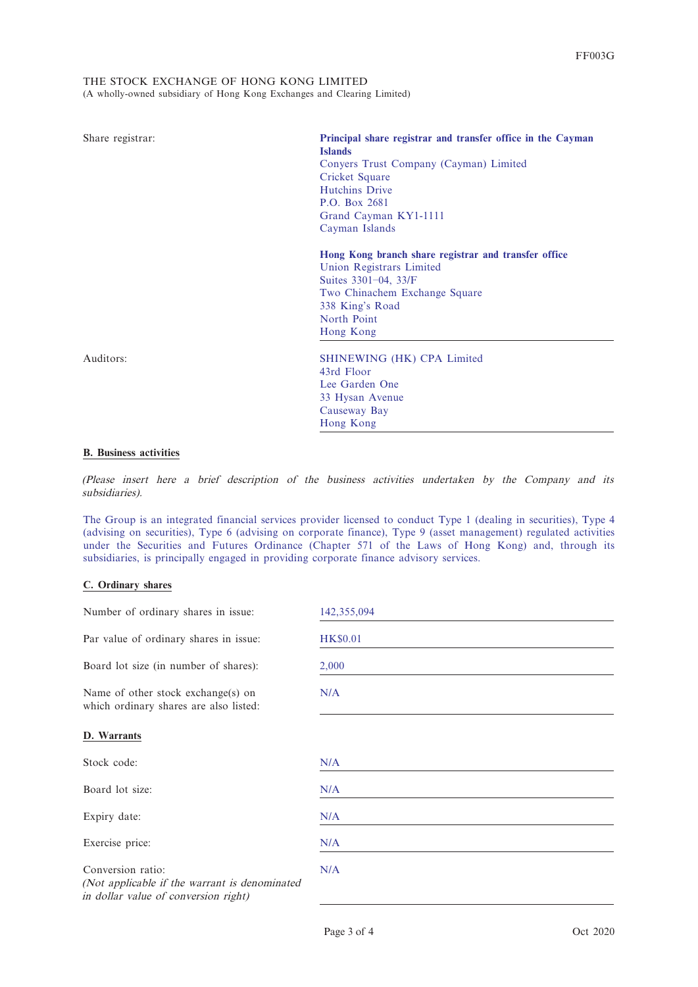| Share registrar: | Principal share registrar and transfer office in the Cayman<br><b>Islands</b><br>Conyers Trust Company (Cayman) Limited<br>Cricket Square<br><b>Hutchins Drive</b><br>P.O. Box 2681<br>Grand Cayman KY1-1111<br>Cayman Islands |
|------------------|--------------------------------------------------------------------------------------------------------------------------------------------------------------------------------------------------------------------------------|
|                  | Hong Kong branch share registrar and transfer office<br>Union Registrars Limited<br>Suites 3301-04, 33/F<br>Two Chinachem Exchange Square<br>338 King's Road<br>North Point<br>Hong Kong                                       |
| Auditors:        | SHINEWING (HK) CPA Limited<br>43rd Floor<br>Lee Garden One<br>33 Hysan Avenue<br>Causeway Bay<br>Hong Kong                                                                                                                     |

### **B. Business activities**

(Please insert here a brief description of the business activities undertaken by the Company and its subsidiaries).

The Group is an integrated financial services provider licensed to conduct Type 1 (dealing in securities), Type 4 (advising on securities), Type 6 (advising on corporate finance), Type 9 (asset management) regulated activities under the Securities and Futures Ordinance (Chapter 571 of the Laws of Hong Kong) and, through its subsidiaries, is principally engaged in providing corporate finance advisory services.

# **C. Ordinary shares**

| Number of ordinary shares in issue:                                                                        | 142,355,094     |
|------------------------------------------------------------------------------------------------------------|-----------------|
| Par value of ordinary shares in issue:                                                                     | <b>HK\$0.01</b> |
| Board lot size (in number of shares):                                                                      | 2,000           |
| Name of other stock exchange(s) on<br>which ordinary shares are also listed:                               | N/A             |
| D. Warrants                                                                                                |                 |
| Stock code:                                                                                                | N/A             |
| Board lot size:                                                                                            | N/A             |
| Expiry date:                                                                                               | N/A             |
| Exercise price:                                                                                            | N/A             |
| Conversion ratio:<br>(Not applicable if the warrant is denominated<br>in dollar value of conversion right) | N/A             |